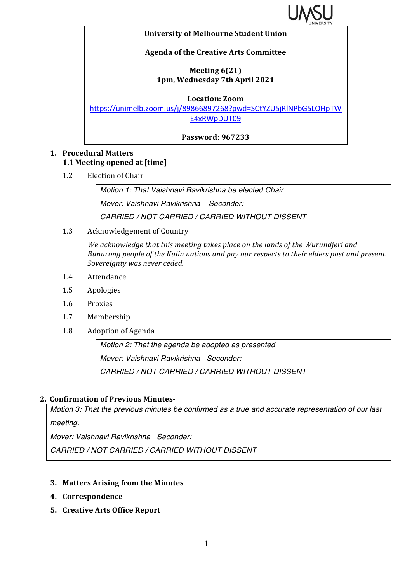

#### **University of Melbourne Student Union**

### **Agenda of the Creative Arts Committee**

### **Meeting 6(21) 1pm, Wednesday 7th April 2021**

**Location: Zoom**

https://unimelb.zoom.us/j/89866897268?pwd=SCtYZU5jRlNPbG5LOHpTW E4xRWpDUT09

**Password: 967233**

### **1. Procedural Matters 1.1 Meeting opened at [time]**

1.2 Election of Chair

*Motion 1: That Vaishnavi Ravikrishna be elected Chair Mover: Vaishnavi Ravikrishna Seconder: CARRIED / NOT CARRIED / CARRIED WITHOUT DISSENT*

1.3 Acknowledgement of Country

We acknowledge that this meeting takes place on the lands of the Wurundjeri and *Bunurong people of the Kulin nations and pay our respects to their elders past and present.* Sovereignty was never ceded.

- 1.4 Attendance
- 1.5 Apologies
- 1.6 Proxies
- 1.7 Membership
- 1.8 Adoption of Agenda

*Motion 2: That the agenda be adopted as presented Mover: Vaishnavi Ravikrishna Seconder: CARRIED / NOT CARRIED / CARRIED WITHOUT DISSENT*

### **2. Confirmation of Previous Minutes-**

*Motion 3: That the previous minutes be confirmed as a true and accurate representation of our last meeting.*

*Mover: Vaishnavi Ravikrishna Seconder:* 

*CARRIED / NOT CARRIED / CARRIED WITHOUT DISSENT*

### **3. Matters Arising from the Minutes**

- **4. Correspondence**
- **5. Creative Arts Office Report**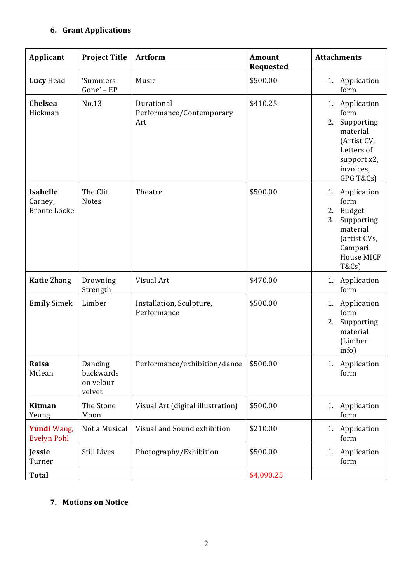## **6. Grant Applications**

| Applicant                                         | <b>Project Title</b>                        | <b>Artform</b>                                | <b>Amount</b><br><b>Requested</b> | <b>Attachments</b>                                                                                                                             |
|---------------------------------------------------|---------------------------------------------|-----------------------------------------------|-----------------------------------|------------------------------------------------------------------------------------------------------------------------------------------------|
| Lucy Head                                         | 'Summers<br>Gone' - EP                      | Music                                         | \$500.00                          | 1. Application<br>form                                                                                                                         |
| Chelsea<br>Hickman                                | No.13                                       | Durational<br>Performance/Contemporary<br>Art | \$410.25                          | 1. Application<br>form<br>Supporting<br>2.<br>material<br>(Artist CV,<br>Letters of<br>support x2,<br>invoices,<br>GPG T&Cs)                   |
| <b>Isabelle</b><br>Carney,<br><b>Bronte Locke</b> | The Clit<br><b>Notes</b>                    | Theatre                                       | \$500.00                          | 1.<br>Application<br>form<br>2.<br><b>Budget</b><br>Supporting<br>3.<br>material<br>(artist CVs,<br>Campari<br>House MICF<br><b>T&amp;Cs</b> ) |
| <b>Katie Zhang</b>                                | Drowning<br>Strength                        | Visual Art                                    | \$470.00                          | 1. Application<br>form                                                                                                                         |
| <b>Emily Simek</b>                                | Limber                                      | Installation, Sculpture,<br>Performance       | \$500.00                          | 1. Application<br>form<br>Supporting<br>2.<br>material<br>(Limber<br>info)                                                                     |
| Raisa<br>Mclean                                   | Dancing<br>backwards<br>on velour<br>velvet | Performance/exhibition/dance                  | \$500.00                          | 1. Application<br>form                                                                                                                         |
| Kitman<br>Yeung                                   | The Stone<br>Moon                           | Visual Art (digital illustration)             | \$500.00                          | 1. Application<br>form                                                                                                                         |
| Yundi Wang,<br><b>Evelyn Pohl</b>                 | Not a Musical                               | Visual and Sound exhibition                   | \$210.00                          | Application<br>1.<br>form                                                                                                                      |
| Jessie<br>Turner                                  | <b>Still Lives</b>                          | Photography/Exhibition                        | \$500.00                          | Application<br>1.<br>form                                                                                                                      |
| <b>Total</b>                                      |                                             |                                               | \$4,090.25                        |                                                                                                                                                |

### **7. Motions on Notice**